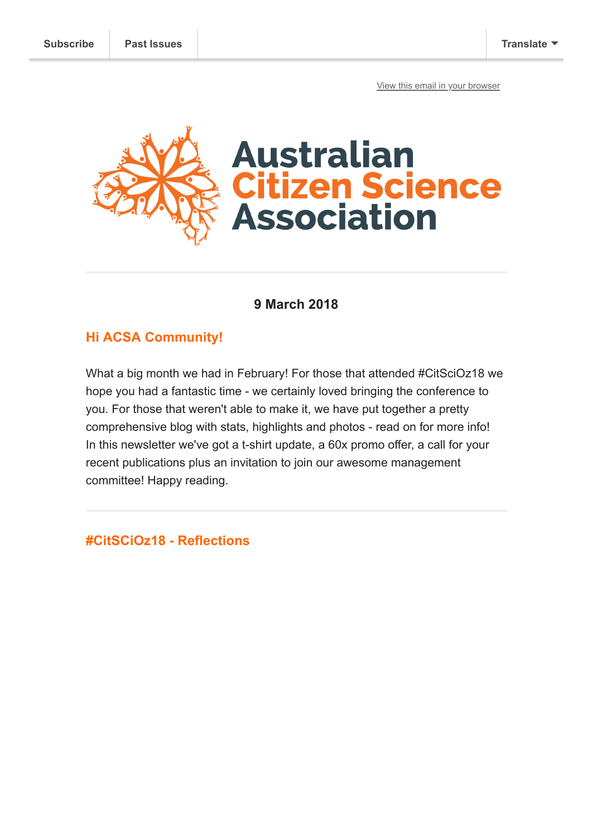[View this email in your browser](https://mailchi.mp/43d9d31303c7/citscioz18-summary-and-so-much-more?e=[UNIQID])



## **9 March 2018**

### **Hi ACSA Community!**

What a big month we had in February! For those that attended #CitSciOz18 we hope you had a fantastic time - we certainly loved bringing the conference to you. For those that weren't able to make it, we have put together a pretty comprehensive blog with stats, highlights and photos - read on for more info! In this newsletter we've got a t-shirt update, a 60x promo offer, a call for your recent publications plus an invitation to join our awesome management committee! Happy reading.

**#CitSCiOz18 - Reflections**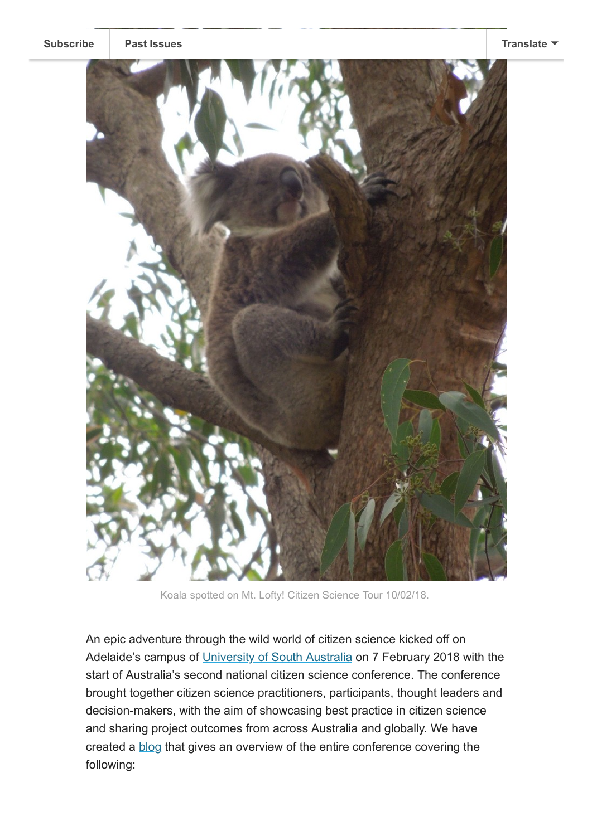

Koala spotted on Mt. Lofty! Citizen Science Tour 10/02/18.

An epic adventure through the wild world of citizen science kicked off on Adelaide's campus of [University of South Australia](https://www.unisa.edu.au/) on 7 February 2018 with the start of Australia's second national citizen science conference. The conference brought together citizen science practitioners, participants, thought leaders and decision-makers, with the aim of showcasing best practice in citizen science and sharing project outcomes from across Australia and globally. We have created a [blog](https://citizenscience.org.au/2018/03/07/discover-relive-citscioz18-magic/) that gives an overview of the entire conference covering the following: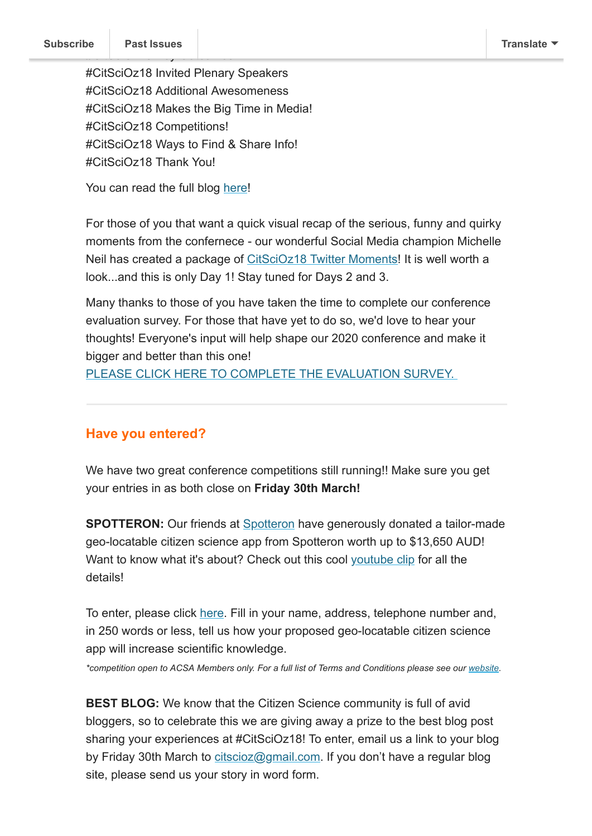#CitSciOz18 Invited Plenary Speakers #CitSciOz18 Additional Awesomeness #CitSciOz18 Makes the Big Time in Media! #CitSciOz18 Competitions! #CitSciOz18 Ways to Find & Share Info! #CitSciOz18 Thank You!

You can read the full blog [here!](https://citizenscience.org.au/2018/03/07/discover-relive-citscioz18-magic/)

For those of you that want a quick visual recap of the serious, funny and quirky moments from the confernece - our wonderful Social Media champion Michelle Neil has created a package of [CitSciOz18 Twitter Moments](https://twitter.com/i/moments/970663225074176002)! It is well worth a look...and this is only Day 1! Stay tuned for Days 2 and 3.

Many thanks to those of you have taken the time to complete our conference evaluation survey. For those that have yet to do so, we'd love to hear your thoughts! Everyone's input will help shape our 2020 conference and make it bigger and better than this one!

PLEASE CLICK HERE TO COMPLETE THE EVALUATION SURVEY.

### **Have you entered?**

We have two great conference competitions still running!! Make sure you get your entries in as both close on **Friday 30th March!**

**SPOTTERON:** Our friends at **Spotteron** have generously donated a tailor-made geo-locatable citizen science app from Spotteron worth up to \$13,650 AUD! Want to know what it's about? Check out this cool [youtube clip](https://youtu.be/osQVtG3zh5o) for all the details!

To enter, please click [here](https://goo.gl/forms/mnDQig7UWvOaR9Pf2). Fill in your name, address, telephone number and, in 250 words or less, tell us how your proposed geo-locatable citizen science app will increase scientific knowledge.

*\*competition open to ACSA Members only. For a full list of Terms and Conditions please see our [website.](https://www.citizenscience.org.au/citscioz18-conference-information/spotteron-competition/)*

**BEST BLOG:** We know that the Citizen Science community is full of avid bloggers, so to celebrate this we are giving away a prize to the best blog post sharing your experiences at #CitSciOz18! To enter, email us a link to your blog by Friday 30th March to [citscioz@gmail.com](mailto:citscioz@gmail.com). If you don't have a regular blog site, please send us your story in word form.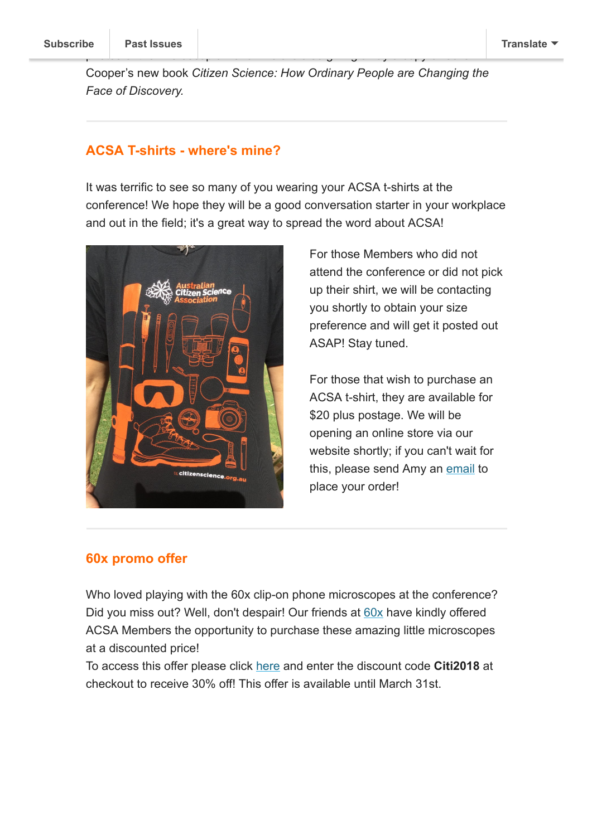Cooper's new book *Citizen Science: How Ordinary People are Changing the Face of Discovery.*

photos of the microscopic world! We are also giving away a copy of Caren

### **ACSA T-shirts - where's mine?**

It was terrific to see so many of you wearing your ACSA t-shirts at the conference! We hope they will be a good conversation starter in your workplace and out in the field; it's a great way to spread the word about ACSA!



For those Members who did not attend the conference or did not pick up their shirt, we will be contacting you shortly to obtain your size preference and will get it posted out ASAP! Stay tuned.

For those that wish to purchase an ACSA t-shirt, they are available for \$20 plus postage. We will be opening an online store via our website shortly; if you can't wait for this, please send Amy an [email](mailto:citscioz@gmail.com) to place your order!

### **60x promo offer**

Who loved playing with the 60x clip-on phone microscopes at the conference? Did you miss out? Well, don't despair! Our friends at [60x](https://60x.co/) have kindly offered ACSA Members the opportunity to purchase these amazing little microscopes at a discounted price!

To access this offer please click [here](https://www.60x.co/product/60xfieldmicroscope/) and enter the discount code **Citi2018** at checkout to receive 30% off! This offer is available until March 31st.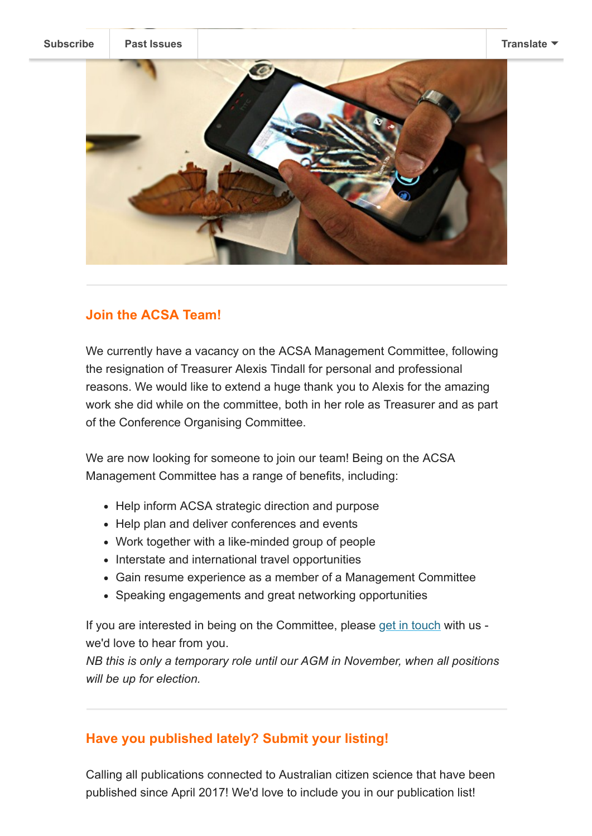**[Subscribe](http://eepurl.com/gr6ouP) [Past Issues](https://us9.campaign-archive.com/home/?u=bf6c4fb11671f5919db89feda&id=40b221ed15) [Translate](javascript:;)**



# **Join the ACSA Team!**

We currently have a vacancy on the ACSA Management Committee, following the resignation of Treasurer Alexis Tindall for personal and professional reasons. We would like to extend a huge thank you to Alexis for the amazing work she did while on the committee, both in her role as Treasurer and as part of the Conference Organising Committee.

We are now looking for someone to join our team! Being on the ACSA Management Committee has a range of benefits, including:

- Help inform ACSA strategic direction and purpose
- Help plan and deliver conferences and events
- Work together with a like-minded group of people
- Interstate and international travel opportunities
- Gain resume experience as a member of a Management Committee
- Speaking engagements and great networking opportunities

If you are interested in being on the Committee, please [get in touch](mailto:citscioz@gmail.com) with us we'd love to hear from you.

*NB this is only a temporary role until our AGM in November, when all positions will be up for election.* 

# **Have you published lately? Submit your listing!**

Calling all publications connected to Australian citizen science that have been published since April 2017! We'd love to include you in our publication list!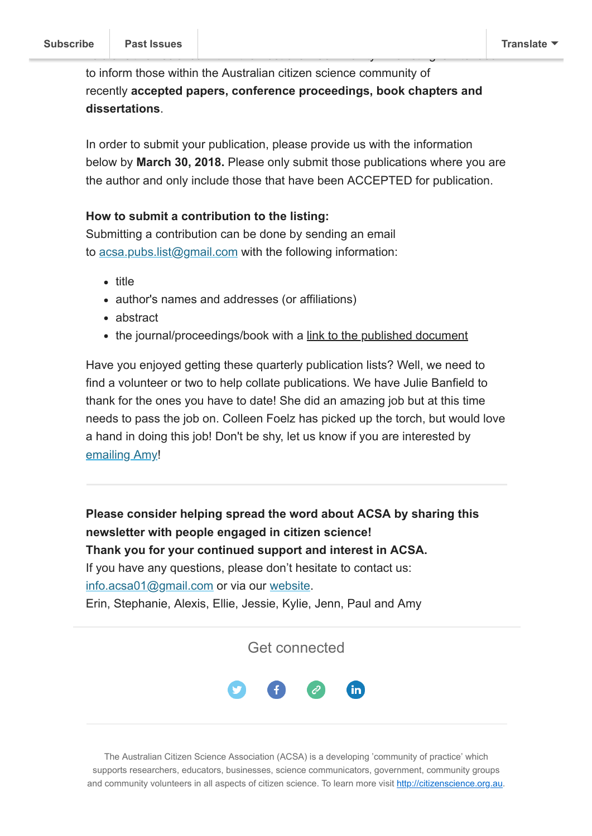to inform those within the Australian citizen science community of recently **accepted papers, conference proceedings, book chapters and dissertations**.

In order to submit your publication, please provide us with the information below by **March 30, 2018.** Please only submit those publications where you are the author and only include those that have been ACCEPTED for publication.

#### **How to submit a contribution to the listing:**

Submitting a contribution can be done by sending an email to [acsa.pubs.list@gmail.com](mailto:acsa.pubs.list@gmail.com) with the following information:

- title
- author's names and addresses (or affiliations)
- abstract
- the journal/proceedings/book with a link to the published document

Have you enjoyed getting these quarterly publication lists? Well, we need to find a volunteer or two to help collate publications. We have Julie Banfield to thank for the ones you have to date! She did an amazing job but at this time needs to pass the job on. Colleen Foelz has picked up the torch, but would love a hand in doing this job! Don't be shy, let us know if you are interested by [emailing Amy!](mailto:amy.slocombe@austmus.gov.au)

**Please consider helping spread the word about ACSA by sharing this newsletter with people engaged in citizen science! Thank you for your continued support and interest in ACSA.** If you have any questions, please don't hesitate to contact us: [info.acsa01@gmail.com](mailto:info.acsa01@gmail.com) or via our [website](http://csna.gaiaresources.com.au/wordpress/contact-us/). Erin, Stephanie, Alexis, Ellie, Jessie, Kylie, Jenn, Paul and Amy

Get connected



The Australian Citizen Science Association (ACSA) is a developing 'community of practice' which supports researchers, educators, businesses, science communicators, government, community groups and community volunteers in all aspects of citizen science. To learn more visit [http://citizenscience.org.au](http://citizenscience.org.au/).